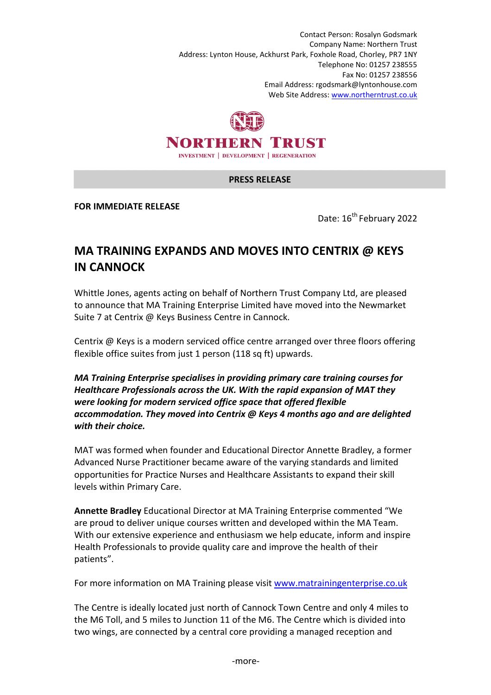Contact Person: Rosalyn Godsmark Company Name: Northern Trust Address: Lynton House, Ackhurst Park, Foxhole Road, Chorley, PR7 1NY Telephone No: 01257 238555 Fax No: 01257 238556 Email Address: rgodsmark@lyntonhouse.com Web Site Address: www.northerntrust.co.uk



## **PRESS RELEASE**

**FOR IMMEDIATE RELEASE** 

Date: 16<sup>th</sup> February 2022

## **MA TRAINING EXPANDS AND MOVES INTO CENTRIX @ KEYS IN CANNOCK**

Whittle Jones, agents acting on behalf of Northern Trust Company Ltd, are pleased to announce that MA Training Enterprise Limited have moved into the Newmarket Suite 7 at Centrix @ Keys Business Centre in Cannock.

Centrix @ Keys is a modern serviced office centre arranged over three floors offering flexible office suites from just 1 person (118 sq ft) upwards.

*MA Training Enterprise specialises in providing primary care training courses for Healthcare Professionals across the UK. With the rapid expansion of MAT they were looking for modern serviced office space that offered flexible accommodation. They moved into Centrix @ Keys 4 months ago and are delighted with their choice.* 

MAT was formed when founder and Educational Director Annette Bradley, a former Advanced Nurse Practitioner became aware of the varying standards and limited opportunities for Practice Nurses and Healthcare Assistants to expand their skill levels within Primary Care.

**Annette Bradley** Educational Director at MA Training Enterprise commented "We are proud to deliver unique courses written and developed within the MA Team. With our extensive experience and enthusiasm we help educate, inform and inspire Health Professionals to provide quality care and improve the health of their patients".

For more information on MA Training please visit www.matrainingenterprise.co.uk

The Centre is ideally located just north of Cannock Town Centre and only 4 miles to the M6 Toll, and 5 miles to Junction 11 of the M6. The Centre which is divided into two wings, are connected by a central core providing a managed reception and